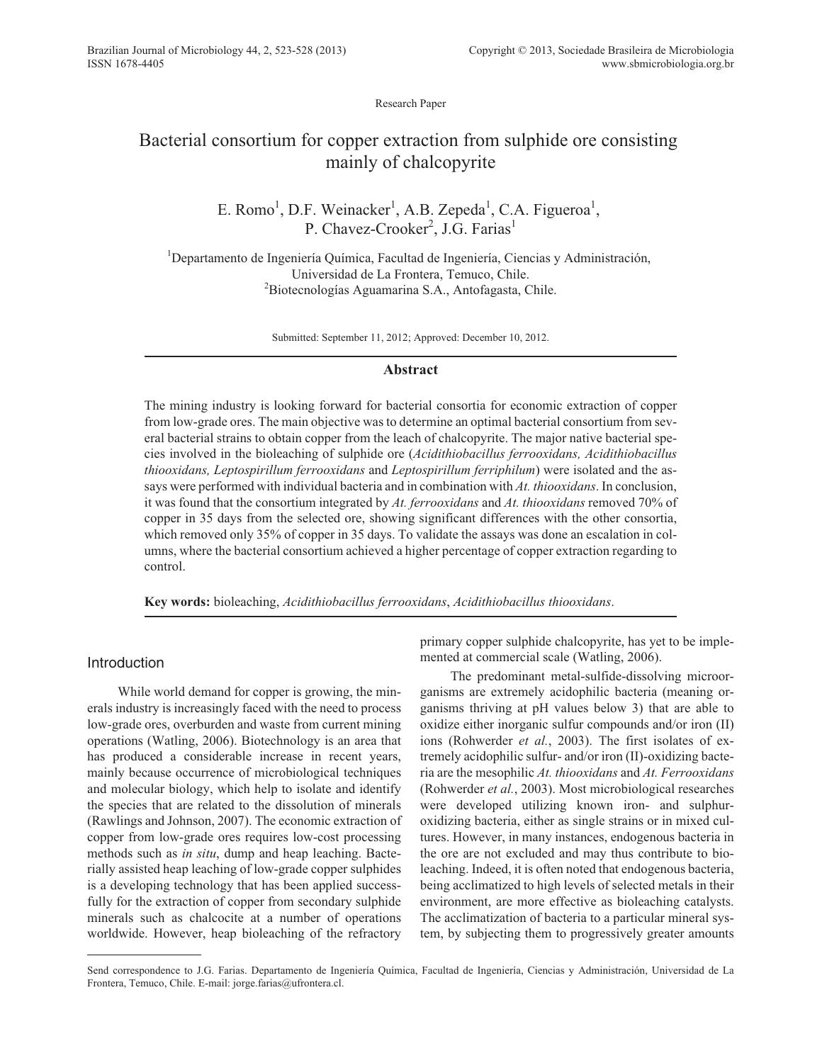Research Paper

# Bacterial consortium for copper extraction from sulphide ore consisting mainly of chalcopyrite

# E. Romo<sup>1</sup>, D.F. Weinacker<sup>1</sup>, A.B. Zepeda<sup>1</sup>, C.A. Figueroa<sup>1</sup>, P. Chavez-Crooker<sup>2</sup>, J.G. Farias<sup>1</sup>

<sup>1</sup>Departamento de Ingeniería Química, Facultad de Ingeniería, Ciencias y Administración, Universidad de La Frontera, Temuco, Chile. <sup>2</sup>Biotecnologías Aguamarina S.A., Antofagasta, Chile.

Submitted: September 11, 2012; Approved: December 10, 2012.

## **Abstract**

The mining industry is looking forward for bacterial consortia for economic extraction of copper from low-grade ores. The main objective was to determine an optimal bacterial consortium from several bacterial strains to obtain copper from the leach of chalcopyrite. The major native bacterial species involved in the bioleaching of sulphide ore (*Acidithiobacillus ferrooxidans, Acidithiobacillus thiooxidans, Leptospirillum ferrooxidans* and *Leptospirillum ferriphilum*) were isolated and the assays were performed with individual bacteria and in combination with *At. thiooxidans*. In conclusion, it was found that the consortium integrated by *At. ferrooxidans* and *At. thiooxidans* removed 70% of copper in 35 days from the selected ore, showing significant differences with the other consortia, which removed only 35% of copper in 35 days. To validate the assays was done an escalation in columns, where the bacterial consortium achieved a higher percentage of copper extraction regarding to control.

**Key words:** bioleaching, *Acidithiobacillus ferrooxidans*, *Acidithiobacillus thiooxidans*.

# Introduction

While world demand for copper is growing, the minerals industry is increasingly faced with the need to process low-grade ores, overburden and waste from current mining operations (Watling, 2006). Biotechnology is an area that has produced a considerable increase in recent years, mainly because occurrence of microbiological techniques and molecular biology, which help to isolate and identify the species that are related to the dissolution of minerals (Rawlings and Johnson, 2007). The economic extraction of copper from low-grade ores requires low-cost processing methods such as *in situ*, dump and heap leaching. Bacterially assisted heap leaching of low-grade copper sulphides is a developing technology that has been applied successfully for the extraction of copper from secondary sulphide minerals such as chalcocite at a number of operations worldwide. However, heap bioleaching of the refractory

primary copper sulphide chalcopyrite, has yet to be implemented at commercial scale (Watling, 2006).

The predominant metal-sulfide-dissolving microorganisms are extremely acidophilic bacteria (meaning organisms thriving at pH values below 3) that are able to oxidize either inorganic sulfur compounds and/or iron (II) ions (Rohwerder *et al.*, 2003). The first isolates of extremely acidophilic sulfur- and/or iron (II)-oxidizing bacteria are the mesophilic *At. thiooxidans* and *At. Ferrooxidans* (Rohwerder *et al.*, 2003). Most microbiological researches were developed utilizing known iron- and sulphuroxidizing bacteria, either as single strains or in mixed cultures. However, in many instances, endogenous bacteria in the ore are not excluded and may thus contribute to bioleaching. Indeed, it is often noted that endogenous bacteria, being acclimatized to high levels of selected metals in their environment, are more effective as bioleaching catalysts. The acclimatization of bacteria to a particular mineral system, by subjecting them to progressively greater amounts

Send correspondence to J.G. Farias. Departamento de Ingeniería Química, Facultad de Ingeniería, Ciencias y Administración, Universidad de La Frontera, Temuco, Chile. E-mail: jorge.farias@ufrontera.cl.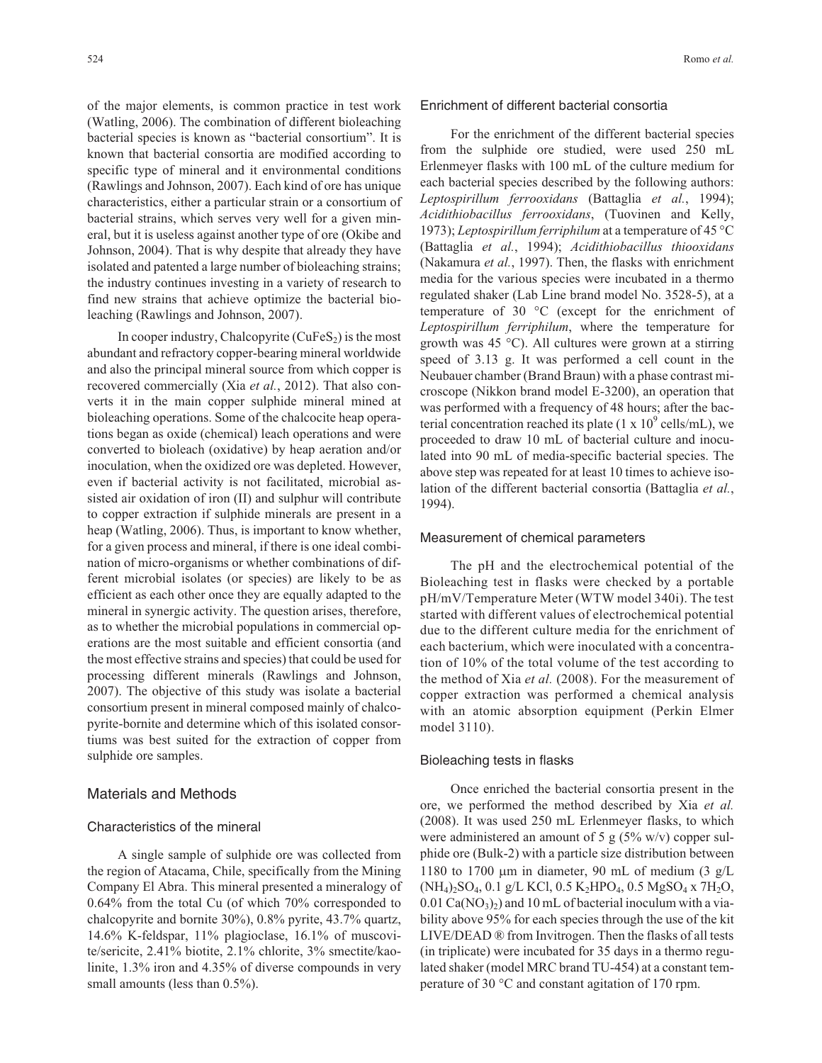of the major elements, is common practice in test work (Watling, 2006). The combination of different bioleaching bacterial species is known as "bacterial consortium". It is known that bacterial consortia are modified according to specific type of mineral and it environmental conditions (Rawlings and Johnson, 2007). Each kind of ore has unique characteristics, either a particular strain or a consortium of bacterial strains, which serves very well for a given mineral, but it is useless against another type of ore (Okibe and Johnson, 2004). That is why despite that already they have isolated and patented a large number of bioleaching strains; the industry continues investing in a variety of research to find new strains that achieve optimize the bacterial bioleaching (Rawlings and Johnson, 2007).

In cooper industry, Chalcopyrite  $(CuFeS<sub>2</sub>)$  is the most abundant and refractory copper-bearing mineral worldwide and also the principal mineral source from which copper is recovered commercially (Xia *et al.*, 2012). That also converts it in the main copper sulphide mineral mined at bioleaching operations. Some of the chalcocite heap operations began as oxide (chemical) leach operations and were converted to bioleach (oxidative) by heap aeration and/or inoculation, when the oxidized ore was depleted. However, even if bacterial activity is not facilitated, microbial assisted air oxidation of iron (II) and sulphur will contribute to copper extraction if sulphide minerals are present in a heap (Watling, 2006). Thus, is important to know whether, for a given process and mineral, if there is one ideal combination of micro-organisms or whether combinations of different microbial isolates (or species) are likely to be as efficient as each other once they are equally adapted to the mineral in synergic activity. The question arises, therefore, as to whether the microbial populations in commercial operations are the most suitable and efficient consortia (and the most effective strains and species) that could be used for processing different minerals (Rawlings and Johnson, 2007). The objective of this study was isolate a bacterial consortium present in mineral composed mainly of chalcopyrite-bornite and determine which of this isolated consortiums was best suited for the extraction of copper from sulphide ore samples.

## Materials and Methods

## Characteristics of the mineral

A single sample of sulphide ore was collected from the region of Atacama, Chile, specifically from the Mining Company El Abra. This mineral presented a mineralogy of 0.64% from the total Cu (of which 70% corresponded to chalcopyrite and bornite 30%), 0.8% pyrite, 43.7% quartz, 14.6% K-feldspar, 11% plagioclase, 16.1% of muscovite/sericite, 2.41% biotite, 2.1% chlorite, 3% smectite/kaolinite, 1.3% iron and 4.35% of diverse compounds in very small amounts (less than 0.5%).

### Enrichment of different bacterial consortia

For the enrichment of the different bacterial species from the sulphide ore studied, were used 250 mL Erlenmeyer flasks with 100 mL of the culture medium for each bacterial species described by the following authors: *Leptospirillum ferrooxidans* (Battaglia *et al.*, 1994); *Acidithiobacillus ferrooxidans*, (Tuovinen and Kelly, 1973); *Leptospirillum ferriphilum* at a temperature of 45 °C (Battaglia *et al.*, 1994); *Acidithiobacillus thiooxidans* (Nakamura *et al.*, 1997). Then, the flasks with enrichment media for the various species were incubated in a thermo regulated shaker (Lab Line brand model No. 3528-5), at a temperature of 30 °C (except for the enrichment of *Leptospirillum ferriphilum*, where the temperature for growth was 45 °C). All cultures were grown at a stirring speed of 3.13 g. It was performed a cell count in the Neubauer chamber (Brand Braun) with a phase contrast microscope (Nikkon brand model E-3200), an operation that was performed with a frequency of 48 hours; after the bacterial concentration reached its plate  $(1 \times 10^9 \text{ cells/mL})$ , we proceeded to draw 10 mL of bacterial culture and inoculated into 90 mL of media-specific bacterial species. The above step was repeated for at least 10 times to achieve isolation of the different bacterial consortia (Battaglia *et al.*, 1994).

#### Measurement of chemical parameters

The pH and the electrochemical potential of the Bioleaching test in flasks were checked by a portable pH/mV/Temperature Meter (WTW model 340i). The test started with different values of electrochemical potential due to the different culture media for the enrichment of each bacterium, which were inoculated with a concentration of 10% of the total volume of the test according to the method of Xia *et al.* (2008). For the measurement of copper extraction was performed a chemical analysis with an atomic absorption equipment (Perkin Elmer model 3110).

#### Bioleaching tests in flasks

Once enriched the bacterial consortia present in the ore, we performed the method described by Xia *et al.* (2008). It was used 250 mL Erlenmeyer flasks, to which were administered an amount of 5 g  $(5\% \text{ w/v})$  copper sulphide ore (Bulk-2) with a particle size distribution between 1180 to 1700  $\mu$ m in diameter, 90 mL of medium (3 g/L (NH<sub>4</sub>)<sub>2</sub>SO<sub>4</sub>, 0.1 g/L KCl, 0.5 K<sub>2</sub>HPO<sub>4</sub>, 0.5 MgSO<sub>4</sub> x 7H<sub>2</sub>O,  $0.01 \text{ Ca}(\text{NO}_3)_2$  and 10 mL of bacterial inoculum with a viability above 95% for each species through the use of the kit LIVE/DEAD ® from Invitrogen. Then the flasks of all tests (in triplicate) were incubated for 35 days in a thermo regulated shaker (model MRC brand TU-454) at a constant temperature of 30 °C and constant agitation of 170 rpm.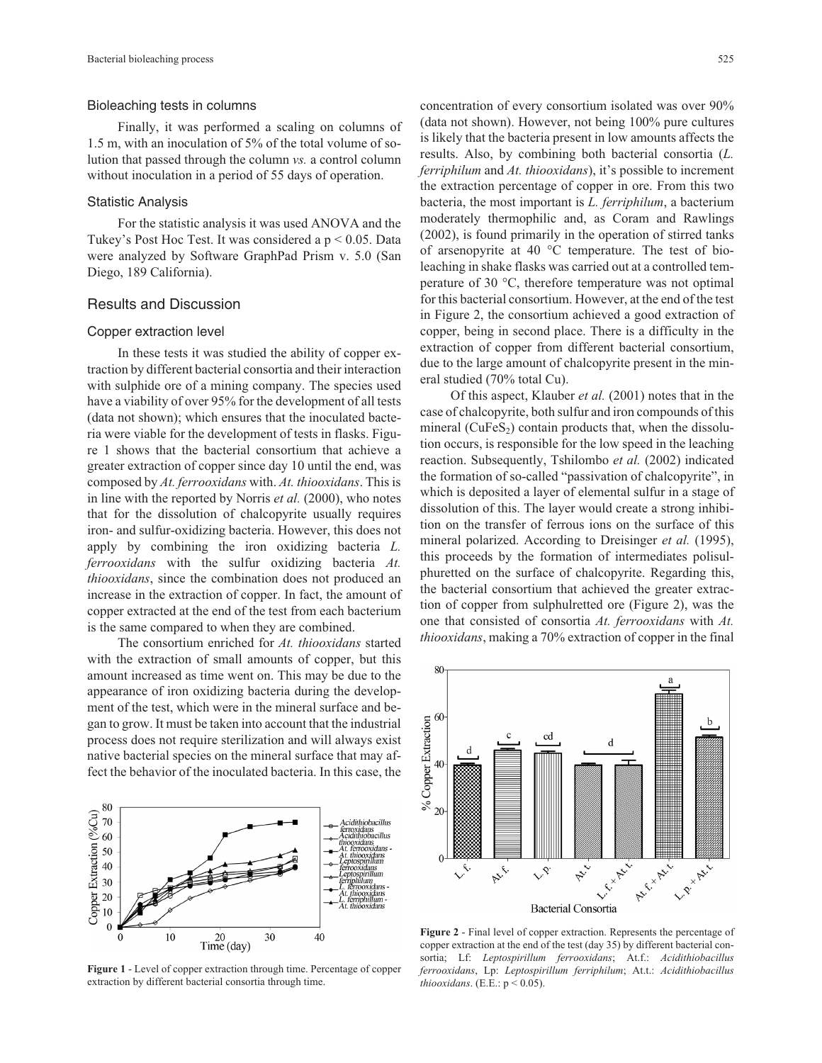#### Bioleaching tests in columns

Finally, it was performed a scaling on columns of 1.5 m, with an inoculation of 5% of the total volume of solution that passed through the column *vs.* a control column without inoculation in a period of 55 days of operation.

#### Statistic Analysis

For the statistic analysis it was used ANOVA and the Tukey's Post Hoc Test. It was considered a  $p < 0.05$ . Data were analyzed by Software GraphPad Prism v. 5.0 (San Diego, 189 California).

## Results and Discussion

#### Copper extraction level

In these tests it was studied the ability of copper extraction by different bacterial consortia and their interaction with sulphide ore of a mining company. The species used have a viability of over 95% for the development of all tests (data not shown); which ensures that the inoculated bacteria were viable for the development of tests in flasks. Figure 1 shows that the bacterial consortium that achieve a greater extraction of copper since day 10 until the end, was composed by *At. ferrooxidans* with. *At. thiooxidans*. This is in line with the reported by Norris *et al.* (2000), who notes that for the dissolution of chalcopyrite usually requires iron- and sulfur-oxidizing bacteria. However, this does not apply by combining the iron oxidizing bacteria *L. ferrooxidans* with the sulfur oxidizing bacteria *At. thiooxidans*, since the combination does not produced an increase in the extraction of copper. In fact, the amount of copper extracted at the end of the test from each bacterium is the same compared to when they are combined.

The consortium enriched for *At. thiooxidans* started with the extraction of small amounts of copper, but this amount increased as time went on. This may be due to the appearance of iron oxidizing bacteria during the development of the test, which were in the mineral surface and began to grow. It must be taken into account that the industrial process does not require sterilization and will always exist native bacterial species on the mineral surface that may affect the behavior of the inoculated bacteria. In this case, the



**Figure 1** - Level of copper extraction through time. Percentage of copper extraction by different bacterial consortia through time.

concentration of every consortium isolated was over 90% (data not shown). However, not being 100% pure cultures is likely that the bacteria present in low amounts affects the results. Also, by combining both bacterial consortia (*L. ferriphilum* and *At. thiooxidans*), it's possible to increment the extraction percentage of copper in ore. From this two bacteria, the most important is *L. ferriphilum*, a bacterium moderately thermophilic and, as Coram and Rawlings (2002), is found primarily in the operation of stirred tanks of arsenopyrite at 40 °C temperature. The test of bioleaching in shake flasks was carried out at a controlled temperature of 30 °C, therefore temperature was not optimal for this bacterial consortium. However, at the end of the test in Figure 2, the consortium achieved a good extraction of copper, being in second place. There is a difficulty in the extraction of copper from different bacterial consortium, due to the large amount of chalcopyrite present in the mineral studied (70% total Cu).

Of this aspect, Klauber *et al.* (2001) notes that in the case of chalcopyrite, both sulfur and iron compounds of this mineral ( $CuFeS<sub>2</sub>$ ) contain products that, when the dissolution occurs, is responsible for the low speed in the leaching reaction. Subsequently, Tshilombo *et al.* (2002) indicated the formation of so-called "passivation of chalcopyrite", in which is deposited a layer of elemental sulfur in a stage of dissolution of this. The layer would create a strong inhibition on the transfer of ferrous ions on the surface of this mineral polarized. According to Dreisinger *et al.* (1995), this proceeds by the formation of intermediates polisulphuretted on the surface of chalcopyrite. Regarding this, the bacterial consortium that achieved the greater extraction of copper from sulphulretted ore (Figure 2), was the one that consisted of consortia *At. ferrooxidans* with *At. thiooxidans*, making a 70% extraction of copper in the final



**Figure 2** - Final level of copper extraction. Represents the percentage of copper extraction at the end of the test (day 35) by different bacterial consortia; Lf: *Leptospirillum ferrooxidans*; At.f.: *Acidithiobacillus ferrooxidans*, Lp: *Leptospirillum ferriphilum*; At.t.: *Acidithiobacillus thiooxidans*. (E.E.: p < 0.05).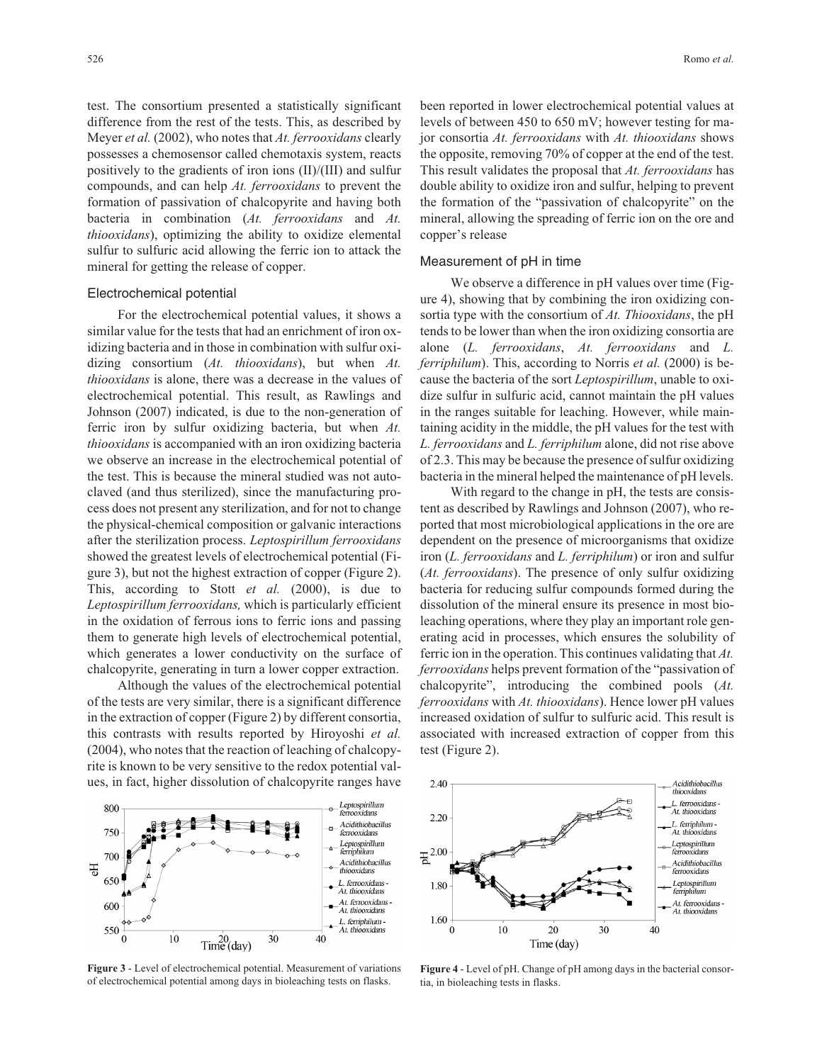test. The consortium presented a statistically significant difference from the rest of the tests. This, as described by Meyer *et al.* (2002), who notes that *At. ferrooxidans* clearly possesses a chemosensor called chemotaxis system, reacts positively to the gradients of iron ions (II)/(III) and sulfur compounds, and can help *At. ferrooxidans* to prevent the formation of passivation of chalcopyrite and having both bacteria in combination (*At. ferrooxidans* and *At. thiooxidans*), optimizing the ability to oxidize elemental sulfur to sulfuric acid allowing the ferric ion to attack the mineral for getting the release of copper.

#### Electrochemical potential

For the electrochemical potential values, it shows a similar value for the tests that had an enrichment of iron oxidizing bacteria and in those in combination with sulfur oxidizing consortium (*At. thiooxidans*), but when *At. thiooxidans* is alone, there was a decrease in the values of electrochemical potential. This result, as Rawlings and Johnson (2007) indicated, is due to the non-generation of ferric iron by sulfur oxidizing bacteria, but when *At. thiooxidans* is accompanied with an iron oxidizing bacteria we observe an increase in the electrochemical potential of the test. This is because the mineral studied was not autoclaved (and thus sterilized), since the manufacturing process does not present any sterilization, and for not to change the physical-chemical composition or galvanic interactions after the sterilization process. *Leptospirillum ferrooxidans* showed the greatest levels of electrochemical potential (Figure 3), but not the highest extraction of copper (Figure 2). This, according to Stott *et al.* (2000), is due to *Leptospirillum ferrooxidans,* which is particularly efficient in the oxidation of ferrous ions to ferric ions and passing them to generate high levels of electrochemical potential, which generates a lower conductivity on the surface of chalcopyrite, generating in turn a lower copper extraction.

Although the values of the electrochemical potential of the tests are very similar, there is a significant difference in the extraction of copper (Figure 2) by different consortia, this contrasts with results reported by Hiroyoshi *et al.* (2004), who notes that the reaction of leaching of chalcopyrite is known to be very sensitive to the redox potential values, in fact, higher dissolution of chalcopyrite ranges have



**Figure 3** - Level of electrochemical potential. Measurement of variations of electrochemical potential among days in bioleaching tests on flasks.

been reported in lower electrochemical potential values at levels of between 450 to 650 mV; however testing for major consortia *At. ferrooxidans* with *At. thiooxidans* shows the opposite, removing 70% of copper at the end of the test. This result validates the proposal that *At. ferrooxidans* has double ability to oxidize iron and sulfur, helping to prevent the formation of the "passivation of chalcopyrite" on the mineral, allowing the spreading of ferric ion on the ore and copper's release

#### Measurement of pH in time

We observe a difference in pH values over time (Figure 4), showing that by combining the iron oxidizing consortia type with the consortium of *At. Thiooxidans*, the pH tends to be lower than when the iron oxidizing consortia are alone (*L. ferrooxidans*, *At. ferrooxidans* and *L. ferriphilum*). This, according to Norris *et al.* (2000) is because the bacteria of the sort *Leptospirillum*, unable to oxidize sulfur in sulfuric acid, cannot maintain the pH values in the ranges suitable for leaching. However, while maintaining acidity in the middle, the pH values for the test with *L. ferrooxidans* and *L. ferriphilum* alone, did not rise above of 2.3. This may be because the presence of sulfur oxidizing bacteria in the mineral helped the maintenance of pH levels.

With regard to the change in pH, the tests are consistent as described by Rawlings and Johnson (2007), who reported that most microbiological applications in the ore are dependent on the presence of microorganisms that oxidize iron (*L. ferrooxidans* and *L. ferriphilum*) or iron and sulfur (*At. ferrooxidans*). The presence of only sulfur oxidizing bacteria for reducing sulfur compounds formed during the dissolution of the mineral ensure its presence in most bioleaching operations, where they play an important role generating acid in processes, which ensures the solubility of ferric ion in the operation. This continues validating that *At. ferrooxidans* helps prevent formation of the "passivation of chalcopyrite", introducing the combined pools (*At. ferrooxidans* with *At. thiooxidans*). Hence lower pH values increased oxidation of sulfur to sulfuric acid. This result is associated with increased extraction of copper from this test (Figure 2).



**Figure 4** - Level of pH. Change of pH among days in the bacterial consortia, in bioleaching tests in flasks.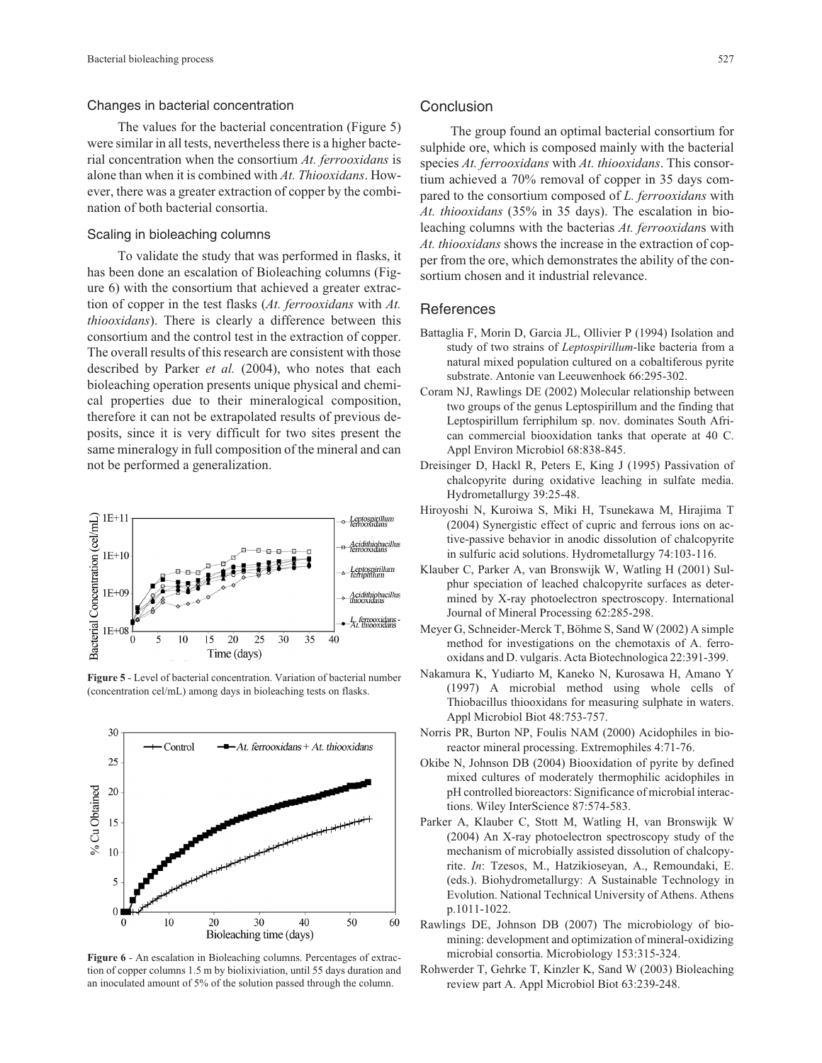#### Changes in bacterial concentration

The values for the bacterial concentration (Figure 5) were similar in all tests, nevertheless there is a higher bacterial concentration when the consortium *At. ferrooxidans* is alone than when it is combined with *At. Thiooxidans*. However, there was a greater extraction of copper by the combination of both bacterial consortia.

## Scaling in bioleaching columns

To validate the study that was performed in flasks, it has been done an escalation of Bioleaching columns (Figure 6) with the consortium that achieved a greater extraction of copper in the test flasks (*At. ferrooxidans* with *At. thiooxidans*). There is clearly a difference between this consortium and the control test in the extraction of copper. The overall results of this research are consistent with those described by Parker *et al.* (2004), who notes that each bioleaching operation presents unique physical and chemical properties due to their mineralogical composition, therefore it can not be extrapolated results of previous deposits, since it is very difficult for two sites present the same mineralogy in full composition of the mineral and can not be performed a generalization.



**Figure 5** - Level of bacterial concentration. Variation of bacterial number (concentration cel/mL) among days in bioleaching tests on flasks.



**Figure 6** - An escalation in Bioleaching columns. Percentages of extraction of copper columns 1.5 m by biolixiviation, until 55 days duration and an inoculated amount of 5% of the solution passed through the column.

## **Conclusion**

The group found an optimal bacterial consortium for sulphide ore, which is composed mainly with the bacterial species *At. ferrooxidans* with *At. thiooxidans*. This consortium achieved a 70% removal of copper in 35 days compared to the consortium composed of *L. ferrooxidans* with *At. thiooxidans* (35% in 35 days). The escalation in bioleaching columns with the bacterias *At. ferrooxidan*s with *At. thiooxidans* shows the increase in the extraction of copper from the ore, which demonstrates the ability of the consortium chosen and it industrial relevance.

## **References**

- Battaglia F, Morin D, Garcia JL, Ollivier P (1994) Isolation and study of two strains of *Leptospirillum*-like bacteria from a natural mixed population cultured on a cobaltiferous pyrite substrate. Antonie van Leeuwenhoek 66:295-302.
- Coram NJ, Rawlings DE (2002) Molecular relationship between two groups of the genus Leptospirillum and the finding that Leptospirillum ferriphilum sp. nov. dominates South African commercial biooxidation tanks that operate at 40 C. Appl Environ Microbiol 68:838-845.
- Dreisinger D, Hackl R, Peters E, King J (1995) Passivation of chalcopyrite during oxidative leaching in sulfate media. Hydrometallurgy 39:25-48.
- Hiroyoshi N, Kuroiwa S, Miki H, Tsunekawa M, Hirajima T (2004) Synergistic effect of cupric and ferrous ions on active-passive behavior in anodic dissolution of chalcopyrite in sulfuric acid solutions. Hydrometallurgy 74:103-116.
- Klauber C, Parker A, van Bronswijk W, Watling H (2001) Sulphur speciation of leached chalcopyrite surfaces as determined by X-ray photoelectron spectroscopy. International Journal of Mineral Processing 62:285-298.
- Meyer G, Schneider-Merck T, Böhme S, Sand W (2002) A simple method for investigations on the chemotaxis of A. ferrooxidans and D. vulgaris. Acta Biotechnologica 22:391-399.
- Nakamura K, Yudiarto M, Kaneko N, Kurosawa H, Amano Y (1997) A microbial method using whole cells of Thiobacillus thiooxidans for measuring sulphate in waters. Appl Microbiol Biot 48:753-757.
- Norris PR, Burton NP, Foulis NAM (2000) Acidophiles in bioreactor mineral processing. Extremophiles 4:71-76.
- Okibe N, Johnson DB (2004) Biooxidation of pyrite by defined mixed cultures of moderately thermophilic acidophiles in pH controlled bioreactors: Significance of microbial interactions. Wiley InterScience 87:574-583.
- Parker A, Klauber C, Stott M, Watling H, van Bronswijk W (2004) An X-ray photoelectron spectroscopy study of the mechanism of microbially assisted dissolution of chalcopyrite. *In*: Tzesos, M., Hatzikioseyan, A., Remoundaki, E. (eds.). Biohydrometallurgy: A Sustainable Technology in Evolution. National Technical University of Athens. Athens p.1011-1022.
- Rawlings DE, Johnson DB (2007) The microbiology of biomining: development and optimization of mineral-oxidizing microbial consortia. Microbiology 153:315-324.
- Rohwerder T, Gehrke T, Kinzler K, Sand W (2003) Bioleaching review part A. Appl Microbiol Biot 63:239-248.